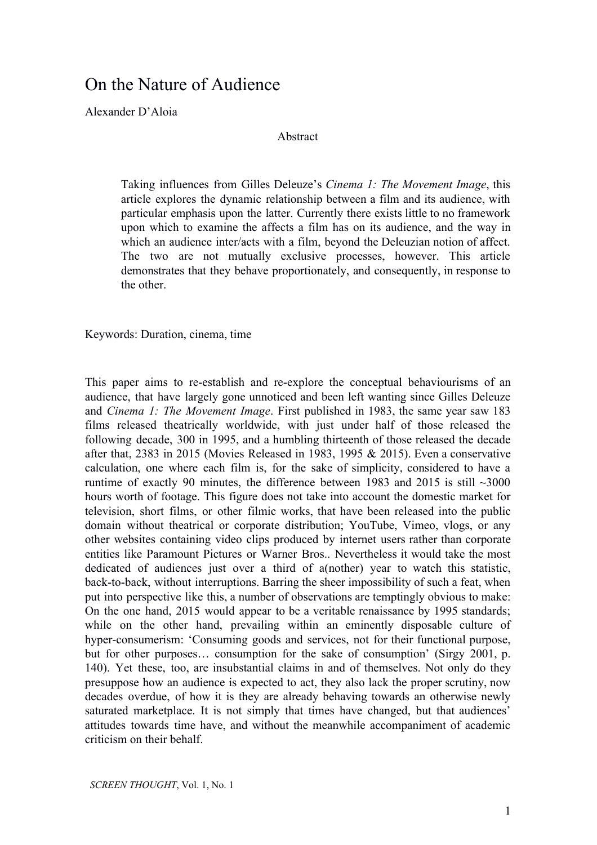## On the Nature of Audience

Alexander D'Aloia

## Abstract

Taking influences from Gilles Deleuze's *Cinema 1: The Movement Image*, this article explores the dynamic relationship between a film and its audience, with particular emphasis upon the latter. Currently there exists little to no framework upon which to examine the affects a film has on its audience, and the way in which an audience inter/acts with a film, beyond the Deleuzian notion of affect. The two are not mutually exclusive processes, however. This article demonstrates that they behave proportionately, and consequently, in response to the other.

Keywords: Duration, cinema, time

This paper aims to re-establish and re-explore the conceptual behaviourisms of an audience, that have largely gone unnoticed and been left wanting since Gilles Deleuze and *Cinema 1: The Movement Image*. First published in 1983, the same year saw 183 films released theatrically worldwide, with just under half of those released the following decade, 300 in 1995, and a humbling thirteenth of those released the decade after that, 2383 in 2015 (Movies Released in 1983, 1995 & 2015). Even a conservative calculation, one where each film is, for the sake of simplicity, considered to have a runtime of exactly 90 minutes, the difference between 1983 and 2015 is still ~3000 hours worth of footage. This figure does not take into account the domestic market for television, short films, or other filmic works, that have been released into the public domain without theatrical or corporate distribution; YouTube, Vimeo, vlogs, or any other websites containing video clips produced by internet users rather than corporate entities like Paramount Pictures or Warner Bros.. Nevertheless it would take the most dedicated of audiences just over a third of a(nother) year to watch this statistic, back-to-back, without interruptions. Barring the sheer impossibility of such a feat, when put into perspective like this, a number of observations are temptingly obvious to make: On the one hand, 2015 would appear to be a veritable renaissance by 1995 standards; while on the other hand, prevailing within an eminently disposable culture of hyper-consumerism: 'Consuming goods and services, not for their functional purpose, but for other purposes… consumption for the sake of consumption' (Sirgy 2001, p. 140). Yet these, too, are insubstantial claims in and of themselves. Not only do they presuppose how an audience is expected to act, they also lack the proper scrutiny, now decades overdue, of how it is they are already behaving towards an otherwise newly saturated marketplace. It is not simply that times have changed, but that audiences' attitudes towards time have, and without the meanwhile accompaniment of academic criticism on their behalf.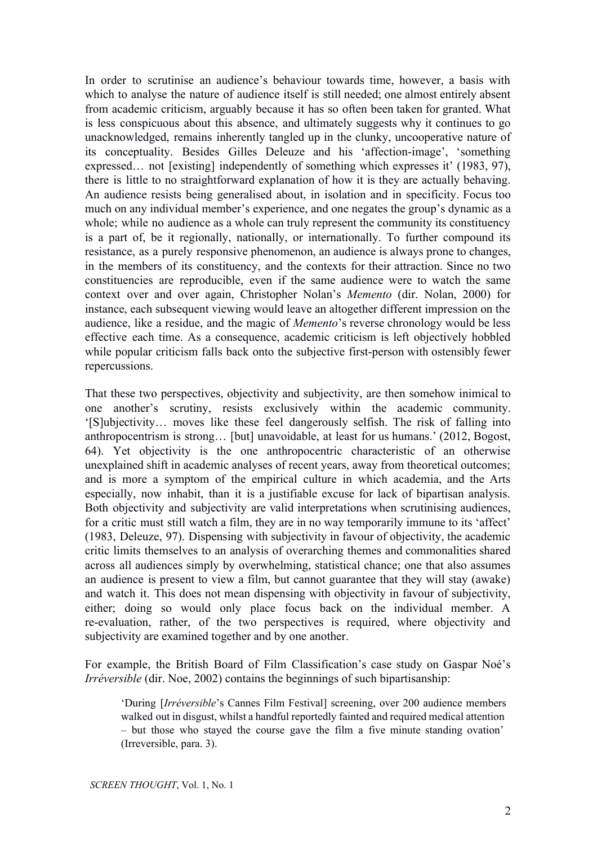In order to scrutinise an audience's behaviour towards time, however, a basis with which to analyse the nature of audience itself is still needed; one almost entirely absent from academic criticism, arguably because it has so often been taken for granted. What is less conspicuous about this absence, and ultimately suggests why it continues to go unacknowledged, remains inherently tangled up in the clunky, uncooperative nature of its conceptuality. Besides Gilles Deleuze and his 'affection-image', 'something expressed… not [existing] independently of something which expresses it' (1983, 97), there is little to no straightforward explanation of how it is they are actually behaving. An audience resists being generalised about, in isolation and in specificity. Focus too much on any individual member's experience, and one negates the group's dynamic as a whole; while no audience as a whole can truly represent the community its constituency is a part of, be it regionally, nationally, or internationally. To further compound its resistance, as a purely responsive phenomenon, an audience is always prone to changes, in the members of its constituency, and the contexts for their attraction. Since no two constituencies are reproducible, even if the same audience were to watch the same context over and over again, Christopher Nolan's *Memento* (dir. Nolan, 2000) for instance, each subsequent viewing would leave an altogether different impression on the audience, like a residue, and the magic of *Memento*'s reverse chronology would be less effective each time. As a consequence, academic criticism is left objectively hobbled while popular criticism falls back onto the subjective first-person with ostensibly fewer repercussions.

That these two perspectives, objectivity and subjectivity, are then somehow inimical to one another's scrutiny, resists exclusively within the academic community. '[S]ubjectivity… moves like these feel dangerously selfish. The risk of falling into anthropocentrism is strong… [but] unavoidable, at least for us humans.' (2012, Bogost, 64). Yet objectivity is the one anthropocentric characteristic of an otherwise unexplained shift in academic analyses of recent years, away from theoretical outcomes; and is more a symptom of the empirical culture in which academia, and the Arts especially, now inhabit, than it is a justifiable excuse for lack of bipartisan analysis. Both objectivity and subjectivity are valid interpretations when scrutinising audiences, for a critic must still watch a film, they are in no way temporarily immune to its 'affect' (1983, Deleuze, 97). Dispensing with subjectivity in favour of objectivity, the academic critic limits themselves to an analysis of overarching themes and commonalities shared across all audiences simply by overwhelming, statistical chance; one that also assumes an audience is present to view a film, but cannot guarantee that they will stay (awake) and watch it. This does not mean dispensing with objectivity in favour of subjectivity, either; doing so would only place focus back on the individual member. A re-evaluation, rather, of the two perspectives is required, where objectivity and subjectivity are examined together and by one another.

For example, the British Board of Film Classification's case study on Gaspar Noé's *Irréversible* (dir. Noe, 2002) contains the beginnings of such bipartisanship:

'During [*Irréversible*'s Cannes Film Festival] screening, over 200 audience members walked out in disgust, whilst a handful reportedly fainted and required medical attention – but those who stayed the course gave the film a five minute standing ovation' (Irreversible, para. 3).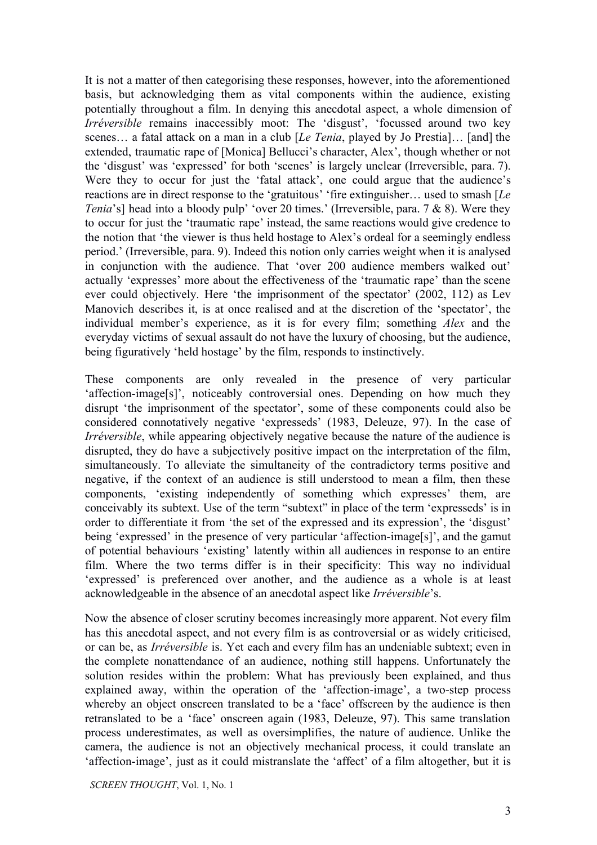It is not a matter of then categorising these responses, however, into the aforementioned basis, but acknowledging them as vital components within the audience, existing potentially throughout a film. In denying this anecdotal aspect, a whole dimension of *Irréversible* remains inaccessibly moot: The 'disgust', 'focussed around two key scenes… a fatal attack on a man in a club [*Le Tenia*, played by Jo Prestia]… [and] the extended, traumatic rape of [Monica] Bellucci's character, Alex', though whether or not the 'disgust' was 'expressed' for both 'scenes' is largely unclear (Irreversible, para. 7). Were they to occur for just the 'fatal attack', one could argue that the audience's reactions are in direct response to the 'gratuitous' 'fire extinguisher… used to smash [*Le Tenia*'s] head into a bloody pulp' 'over 20 times.' (Irreversible, para. 7 & 8). Were they to occur for just the 'traumatic rape' instead, the same reactions would give credence to the notion that 'the viewer is thus held hostage to Alex's ordeal for a seemingly endless period.' (Irreversible, para. 9). Indeed this notion only carries weight when it is analysed in conjunction with the audience. That 'over 200 audience members walked out' actually 'expresses' more about the effectiveness of the 'traumatic rape' than the scene ever could objectively. Here 'the imprisonment of the spectator' (2002, 112) as Lev Manovich describes it, is at once realised and at the discretion of the 'spectator', the individual member's experience, as it is for every film; something *Alex* and the everyday victims of sexual assault do not have the luxury of choosing, but the audience, being figuratively 'held hostage' by the film, responds to instinctively.

These components are only revealed in the presence of very particular 'affection-image[s]', noticeably controversial ones. Depending on how much they disrupt 'the imprisonment of the spectator', some of these components could also be considered connotatively negative 'expresseds' (1983, Deleuze, 97). In the case of *Irréversible*, while appearing objectively negative because the nature of the audience is disrupted, they do have a subjectively positive impact on the interpretation of the film, simultaneously. To alleviate the simultaneity of the contradictory terms positive and negative, if the context of an audience is still understood to mean a film, then these components, 'existing independently of something which expresses' them, are conceivably its subtext. Use of the term "subtext" in place of the term 'expresseds' is in order to differentiate it from 'the set of the expressed and its expression', the 'disgust' being 'expressed' in the presence of very particular 'affection-image[s]', and the gamut of potential behaviours 'existing' latently within all audiences in response to an entire film. Where the two terms differ is in their specificity: This way no individual 'expressed' is preferenced over another, and the audience as a whole is at least acknowledgeable in the absence of an anecdotal aspect like *Irréversible*'s.

Now the absence of closer scrutiny becomes increasingly more apparent. Not every film has this anecdotal aspect, and not every film is as controversial or as widely criticised, or can be, as *Irréversible* is. Yet each and every film has an undeniable subtext; even in the complete nonattendance of an audience, nothing still happens. Unfortunately the solution resides within the problem: What has previously been explained, and thus explained away, within the operation of the 'affection-image', a two-step process whereby an object onscreen translated to be a 'face' offscreen by the audience is then retranslated to be a 'face' onscreen again (1983, Deleuze, 97). This same translation process underestimates, as well as oversimplifies, the nature of audience. Unlike the camera, the audience is not an objectively mechanical process, it could translate an 'affection-image', just as it could mistranslate the 'affect' of a film altogether, but it is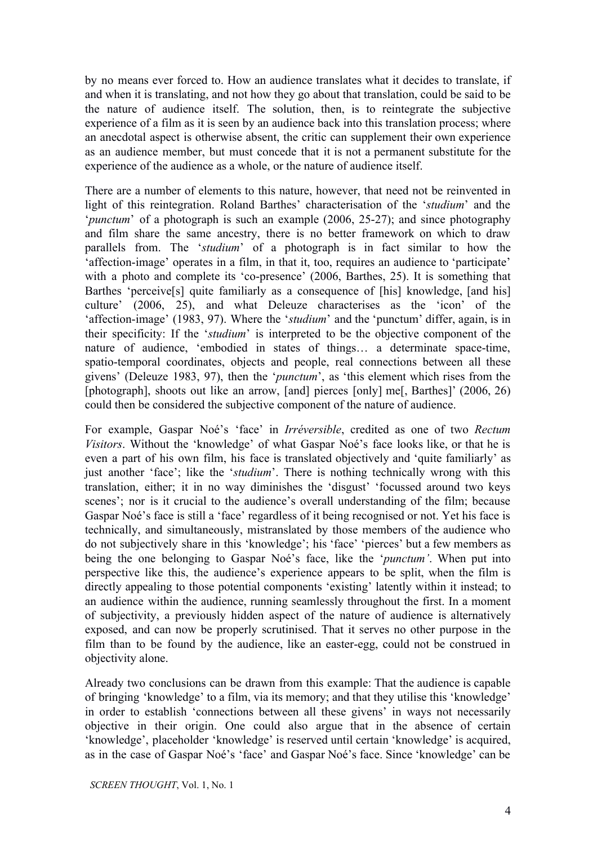by no means ever forced to. How an audience translates what it decides to translate, if and when it is translating, and not how they go about that translation, could be said to be the nature of audience itself. The solution, then, is to reintegrate the subjective experience of a film as it is seen by an audience back into this translation process; where an anecdotal aspect is otherwise absent, the critic can supplement their own experience as an audience member, but must concede that it is not a permanent substitute for the experience of the audience as a whole, or the nature of audience itself.

There are a number of elements to this nature, however, that need not be reinvented in light of this reintegration. Roland Barthes' characterisation of the '*studium*' and the '*punctum*' of a photograph is such an example (2006, 25-27); and since photography and film share the same ancestry, there is no better framework on which to draw parallels from. The '*studium*' of a photograph is in fact similar to how the 'affection-image' operates in a film, in that it, too, requires an audience to 'participate' with a photo and complete its 'co-presence' (2006, Barthes, 25). It is something that Barthes 'perceive[s] quite familiarly as a consequence of [his] knowledge, [and his] culture' (2006, 25), and what Deleuze characterises as the 'icon' of the 'affection-image' (1983, 97). Where the '*studium*' and the 'punctum' differ, again, is in their specificity: If the '*studium*' is interpreted to be the objective component of the nature of audience, 'embodied in states of things... a determinate space-time, spatio-temporal coordinates, objects and people, real connections between all these givens' (Deleuze 1983, 97), then the '*punctum*', as 'this element which rises from the [photograph], shoots out like an arrow, [and] pierces [only] me[, Barthes]' (2006, 26) could then be considered the subjective component of the nature of audience.

For example, Gaspar Noé's 'face' in *Irréversible*, credited as one of two *Rectum Visitors*. Without the 'knowledge' of what Gaspar Noé's face looks like, or that he is even a part of his own film, his face is translated objectively and 'quite familiarly' as just another 'face'; like the '*studium*'. There is nothing technically wrong with this translation, either; it in no way diminishes the 'disgust' 'focussed around two keys scenes'; nor is it crucial to the audience's overall understanding of the film; because Gaspar Noé's face is still a 'face' regardless of it being recognised or not. Yet his face is technically, and simultaneously, mistranslated by those members of the audience who do not subjectively share in this 'knowledge'; his 'face' 'pierces' but a few members as being the one belonging to Gaspar Noé's face, like the '*punctum'*. When put into perspective like this, the audience's experience appears to be split, when the film is directly appealing to those potential components 'existing' latently within it instead; to an audience within the audience, running seamlessly throughout the first. In a moment of subjectivity, a previously hidden aspect of the nature of audience is alternatively exposed, and can now be properly scrutinised. That it serves no other purpose in the film than to be found by the audience, like an easter-egg, could not be construed in objectivity alone.

Already two conclusions can be drawn from this example: That the audience is capable of bringing 'knowledge' to a film, via its memory; and that they utilise this 'knowledge' in order to establish 'connections between all these givens' in ways not necessarily objective in their origin. One could also argue that in the absence of certain 'knowledge', placeholder 'knowledge' is reserved until certain 'knowledge' is acquired, as in the case of Gaspar Noé's 'face' and Gaspar Noé's face. Since 'knowledge' can be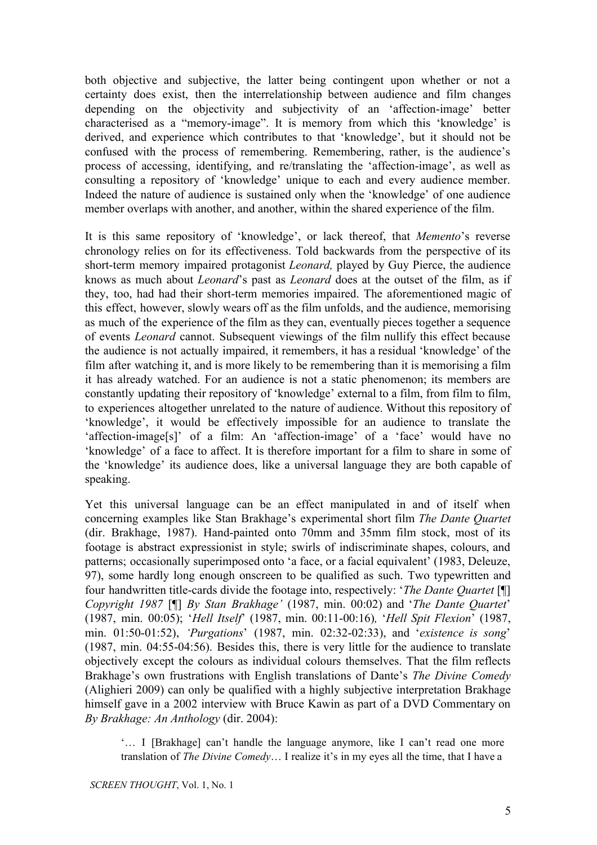both objective and subjective, the latter being contingent upon whether or not a certainty does exist, then the interrelationship between audience and film changes depending on the objectivity and subjectivity of an 'affection-image' better characterised as a "memory-image". It is memory from which this 'knowledge' is derived, and experience which contributes to that 'knowledge', but it should not be confused with the process of remembering. Remembering, rather, is the audience's process of accessing, identifying, and re/translating the 'affection-image', as well as consulting a repository of 'knowledge' unique to each and every audience member. Indeed the nature of audience is sustained only when the 'knowledge' of one audience member overlaps with another, and another, within the shared experience of the film.

It is this same repository of 'knowledge', or lack thereof, that *Memento*'s reverse chronology relies on for its effectiveness. Told backwards from the perspective of its short-term memory impaired protagonist *Leonard*, played by Guy Pierce, the audience knows as much about *Leonard*'s past as *Leonard* does at the outset of the film, as if they, too, had had their short-term memories impaired. The aforementioned magic of this effect, however, slowly wears off as the film unfolds, and the audience, memorising as much of the experience of the film as they can, eventually pieces together a sequence of events *Leonard* cannot. Subsequent viewings of the film nullify this effect because the audience is not actually impaired, it remembers, it has a residual 'knowledge' of the film after watching it, and is more likely to be remembering than it is memorising a film it has already watched. For an audience is not a static phenomenon; its members are constantly updating their repository of 'knowledge' external to a film, from film to film, to experiences altogether unrelated to the nature of audience. Without this repository of 'knowledge', it would be effectively impossible for an audience to translate the 'affection-image[s]' of a film: An 'affection-image' of a 'face' would have no 'knowledge' of a face to affect. It is therefore important for a film to share in some of the 'knowledge' its audience does, like a universal language they are both capable of speaking.

Yet this universal language can be an effect manipulated in and of itself when concerning examples like Stan Brakhage's experimental short film *The Dante Quartet* (dir. Brakhage, 1987). Hand-painted onto 70mm and 35mm film stock, most of its footage is abstract expressionist in style; swirls of indiscriminate shapes, colours, and patterns; occasionally superimposed onto 'a face, or a facial equivalent' (1983, Deleuze, 97), some hardly long enough onscreen to be qualified as such. Two typewritten and four handwritten title-cards divide the footage into, respectively: '*The Dante Quartet* [¶] *Copyright 1987* [¶] *By Stan Brakhage'* (1987, min. 00:02) and '*The Dante Quartet*' (1987, min. 00:05); '*Hell Itself*' (1987, min. 00:1100:16)*,* '*Hell Spit Flexion*' (1987, min. 01:50-01:52), *'Purgations'* (1987, min. 02:32-02:33), and '*existence is song'*  $(1987, \text{min}, 04:55-04:56)$ . Besides this, there is very little for the audience to translate objectively except the colours as individual colours themselves. That the film reflects Brakhage's own frustrations with English translations of Dante's *The Divine Comedy* (Alighieri 2009) can only be qualified with a highly subjective interpretation Brakhage himself gave in a 2002 interview with Bruce Kawin as part of a DVD Commentary on *By Brakhage: An Anthology* (dir. 2004):

'… I [Brakhage] can't handle the language anymore, like I can't read one more translation of *The Divine Comedy*… I realize it's in my eyes all the time, that I have a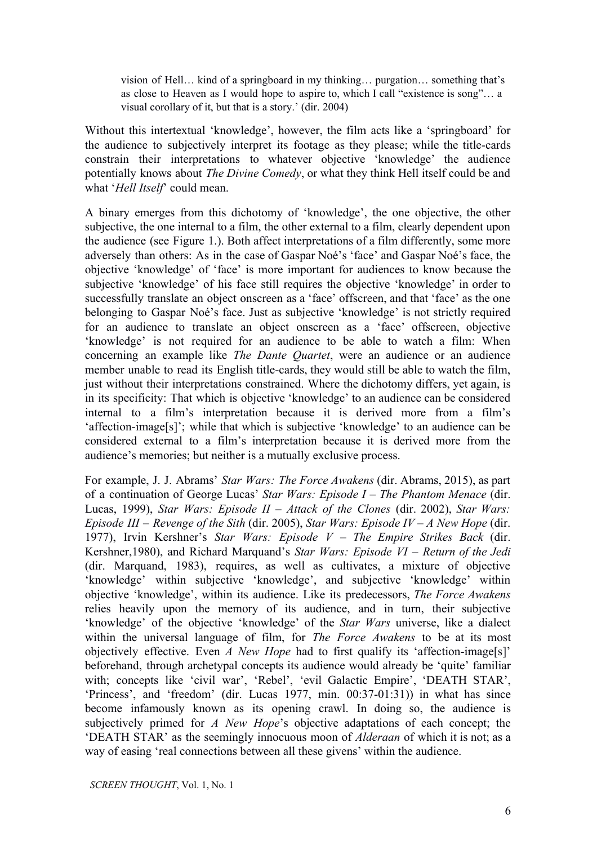vision of Hell… kind of a springboard in my thinking… purgation… something that's as close to Heaven as I would hope to aspire to, which I call "existence is song"… a visual corollary of it, but that is a story.' (dir. 2004)

Without this intertextual 'knowledge', however, the film acts like a 'springboard' for the audience to subjectively interpret its footage as they please; while the title-cards constrain their interpretations to whatever objective 'knowledge' the audience potentially knows about *The Divine Comedy*, or what they think Hell itself could be and what '*Hell Itself*' could mean.

A binary emerges from this dichotomy of 'knowledge', the one objective, the other subjective, the one internal to a film, the other external to a film, clearly dependent upon the audience (see Figure 1.). Both affect interpretations of a film differently, some more adversely than others: As in the case of Gaspar Noé's 'face' and Gaspar Noé's face, the objective 'knowledge' of 'face' is more important for audiences to know because the subjective 'knowledge' of his face still requires the objective 'knowledge' in order to successfully translate an object onscreen as a 'face' offscreen, and that 'face' as the one belonging to Gaspar Noé's face. Just as subjective 'knowledge' is not strictly required for an audience to translate an object onscreen as a 'face' offscreen, objective 'knowledge' is not required for an audience to be able to watch a film: When concerning an example like *The Dante Quartet*, were an audience or an audience member unable to read its English title-cards, they would still be able to watch the film, just without their interpretations constrained. Where the dichotomy differs, yet again, is in its specificity: That which is objective 'knowledge' to an audience can be considered internal to a film's interpretation because it is derived more from a film's 'affection-image[s]'; while that which is subjective 'knowledge' to an audience can be considered external to a film's interpretation because it is derived more from the audience's memories; but neither is a mutually exclusive process.

For example, J. J. Abrams' *Star Wars: The Force Awakens* (dir. Abrams, 2015), as part of a continuation of George Lucas' *Star Wars: Episode I – The Phantom Menace* (dir. Lucas, 1999), *Star Wars: Episode II – Attack of the Clones* (dir. 2002), *Star Wars: Episode III – Revenge of the Sith* (dir. 2005), *Star Wars: Episode IV – A New Hope* (dir. 1977), Irvin Kershner's *Star Wars: Episode V – The Empire Strikes Back* (dir. Kershner,1980), and Richard Marquand's *Star Wars: Episode VI – Return of the Jedi* (dir. Marquand, 1983), requires, as well as cultivates, a mixture of objective 'knowledge' within subjective 'knowledge', and subjective 'knowledge' within objective 'knowledge', within its audience. Like its predecessors, *The Force Awakens* relies heavily upon the memory of its audience, and in turn, their subjective 'knowledge' of the objective 'knowledge' of the *Star Wars* universe, like a dialect within the universal language of film, for *The Force Awakens* to be at its most objectively effective. Even *A New Hope* had to first qualify its 'affection-image[s]' beforehand, through archetypal concepts its audience would already be 'quite' familiar with; concepts like 'civil war', 'Rebel', 'evil Galactic Empire', 'DEATH STAR', 'Princess', and 'freedom' (dir. Lucas 1977, min. 00:37-01:31)) in what has since become infamously known as its opening crawl. In doing so, the audience is subjectively primed for *A New Hope*'s objective adaptations of each concept; the 'DEATH STAR' as the seemingly innocuous moon of *Alderaan* of which it is not; as a way of easing 'real connections between all these givens' within the audience.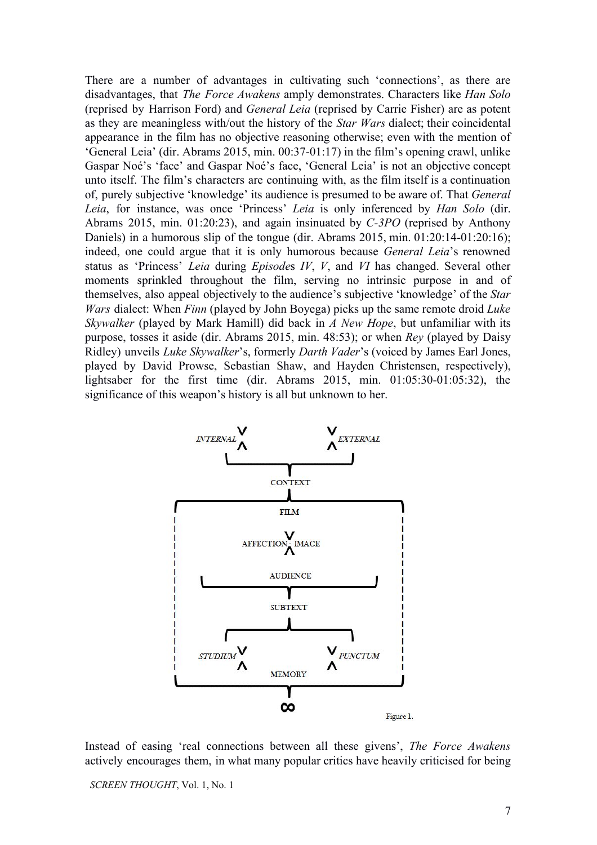There are a number of advantages in cultivating such 'connections', as there are disadvantages, that *The Force Awakens* amply demonstrates. Characters like *Han Solo* (reprised by Harrison Ford) and *General Leia* (reprised by Carrie Fisher) are as potent as they are meaningless with/out the history of the *Star Wars* dialect; their coincidental appearance in the film has no objective reasoning otherwise; even with the mention of 'General Leia' (dir. Abrams 2015, min. 00:37-01:17) in the film's opening crawl, unlike Gaspar Noé's 'face' and Gaspar Noé's face, 'General Leia' is not an objective concept unto itself. The film's characters are continuing with, as the film itself is a continuation of, purely subjective 'knowledge' its audience is presumed to be aware of. That *General Leia*, for instance, was once 'Princess' *Leia* is only inferenced by *Han Solo* (dir. Abrams 2015, min. 01:20:23), and again insinuated by *C-3PO* (reprised by Anthony Daniels) in a humorous slip of the tongue (dir. Abrams 2015, min.  $01:20:14-01:20:16$ ); indeed, one could argue that it is only humorous because *General Leia*'s renowned status as 'Princess' *Leia* during *Episode*s *IV*, *V*, and *VI* has changed. Several other moments sprinkled throughout the film, serving no intrinsic purpose in and of themselves, also appeal objectively to the audience's subjective 'knowledge' of the *Star Wars* dialect: When *Finn* (played by John Boyega) picks up the same remote droid *Luke Skywalker* (played by Mark Hamill) did back in *A New Hope*, but unfamiliar with its purpose, tosses it aside (dir. Abrams 2015, min. 48:53); or when *Rey* (played by Daisy Ridley) unveils *Luke Skywalker*'s, formerly *Darth Vader*'s (voiced by James Earl Jones, played by David Prowse, Sebastian Shaw, and Hayden Christensen, respectively), lightsaber for the first time (dir. Abrams 2015, min.  $01:05:30-01:05:32$ ), the significance of this weapon's history is all but unknown to her.



Instead of easing 'real connections between all these givens', *The Force Awakens* actively encourages them, in what many popular critics have heavily criticised for being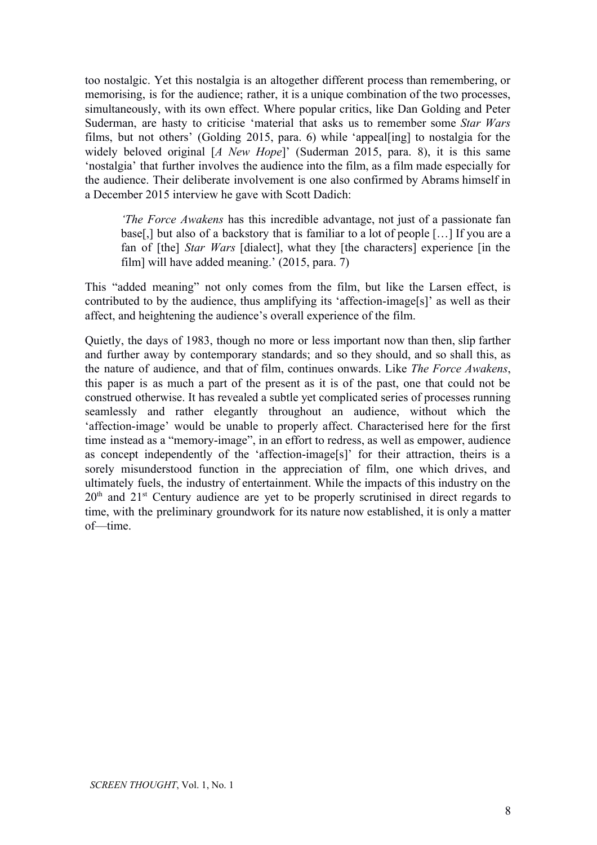too nostalgic. Yet this nostalgia is an altogether different process than remembering, or memorising, is for the audience; rather, it is a unique combination of the two processes, simultaneously, with its own effect. Where popular critics, like Dan Golding and Peter Suderman, are hasty to criticise 'material that asks us to remember some *Star Wars* films, but not others' (Golding 2015, para. 6) while 'appeal[ing] to nostalgia for the widely beloved original [*A New Hope*]' (Suderman 2015, para. 8), it is this same 'nostalgia' that further involves the audience into the film, as a film made especially for the audience. Their deliberate involvement is one also confirmed by Abrams himself in a December 2015 interview he gave with Scott Dadich:

*'The Force Awakens* has this incredible advantage, not just of a passionate fan base[,] but also of a backstory that is familiar to a lot of people […] If you are a fan of [the] *Star Wars* [dialect], what they [the characters] experience [in the film] will have added meaning.' (2015, para. 7)

This "added meaning" not only comes from the film, but like the Larsen effect, is contributed to by the audience, thus amplifying its 'affection-image<sup>[s]'</sup> as well as their affect, and heightening the audience's overall experience of the film.

Quietly, the days of 1983, though no more or less important now than then, slip farther and further away by contemporary standards; and so they should, and so shall this, as the nature of audience, and that of film, continues onwards. Like *The Force Awakens*, this paper is as much a part of the present as it is of the past, one that could not be construed otherwise. It has revealed a subtle yet complicated series of processes running seamlessly and rather elegantly throughout an audience, without which the 'affection-image' would be unable to properly affect. Characterised here for the first time instead as a "memory-image", in an effort to redress, as well as empower, audience as concept independently of the 'affection-image[s]' for their attraction, theirs is a sorely misunderstood function in the appreciation of film, one which drives, and ultimately fuels, the industry of entertainment. While the impacts of this industry on the  $20<sup>th</sup>$  and  $21<sup>st</sup>$  Century audience are yet to be properly scrutinised in direct regards to time, with the preliminary groundwork for its nature now established, it is only a matter of—time.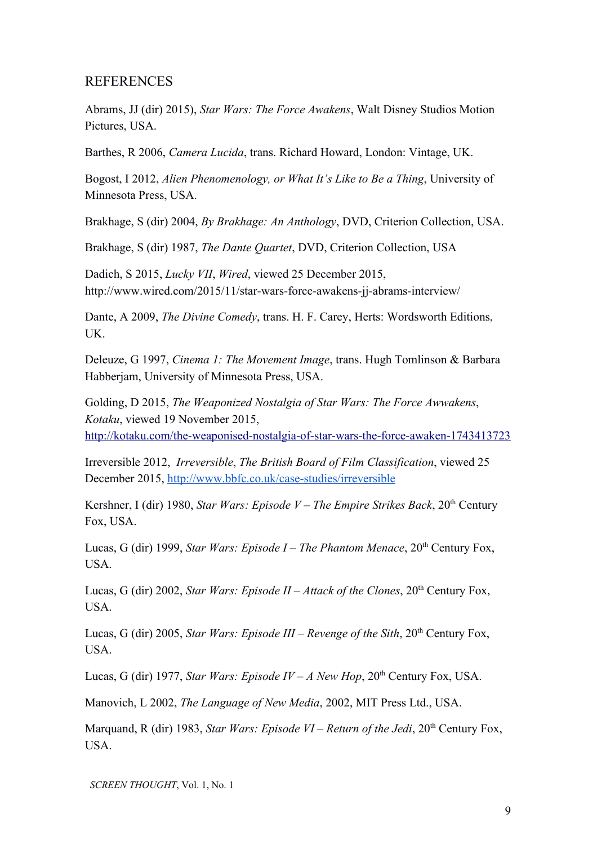## REFERENCES

Abrams, JJ (dir) 2015), *Star Wars: The Force Awakens*, Walt Disney Studios Motion Pictures, USA.

Barthes, R 2006, *Camera Lucida*, trans. Richard Howard, London: Vintage, UK.

Bogost, I 2012, *Alien Phenomenology, or What It's Like to Be a Thing*, University of Minnesota Press, USA.

Brakhage, S (dir) 2004, *By Brakhage: An Anthology*, DVD, Criterion Collection, USA.

Brakhage, S (dir) 1987, *The Dante Quartet*, DVD, Criterion Collection, USA

Dadich, S 2015, *Lucky VII*, *Wired*, viewed 25 December 2015, http://www.wired.com/2015/11/star-wars-force-awakens-ji-abrams-interview/

Dante, A 2009, *The Divine Comedy*, trans. H. F. Carey, Herts: Wordsworth Editions, UK.

Deleuze, G 1997, *Cinema 1: The Movement Image*, trans. Hugh Tomlinson & Barbara Habberjam, University of Minnesota Press, USA.

Golding, D 2015, *The Weaponized Nostalgia of Star Wars: The Force Awwakens*, *Kotaku*, viewed 19 November 2015, http://kotaku.com/the-weaponised-nostalgia-of-star-wars-the-force-awaken-1743413723

Irreversible 2012, *Irreversible*, *The British Board of Film Classification*, viewed 25 December 2015, http://www.bbfc.co.uk/case-studies/irreversible

Kershner, I (dir) 1980, *Star Wars: Episode V – The Empire Strikes Back*, 20<sup>th</sup> Century Fox, USA.

Lucas, G (dir) 1999, *Star Wars: Episode I – The Phantom Menace*, 20<sup>th</sup> Century Fox, USA.

Lucas, G (dir) 2002, *Star Wars: Episode II – Attack of the Clones*, 20<sup>th</sup> Century Fox, USA.

Lucas, G (dir) 2005, *Star Wars: Episode III – Revenge of the Sith*, 20<sup>th</sup> Century Fox, USA.

Lucas, G (dir) 1977, *Star Wars: Episode IV – A New Hop*,  $20<sup>th</sup>$  Century Fox, USA.

Manovich, L 2002, *The Language of New Media*, 2002, MIT Press Ltd., USA.

Marquand, R (dir) 1983, *Star Wars: Episode VI – Return of the Jedi*, 20<sup>th</sup> Century Fox, USA.